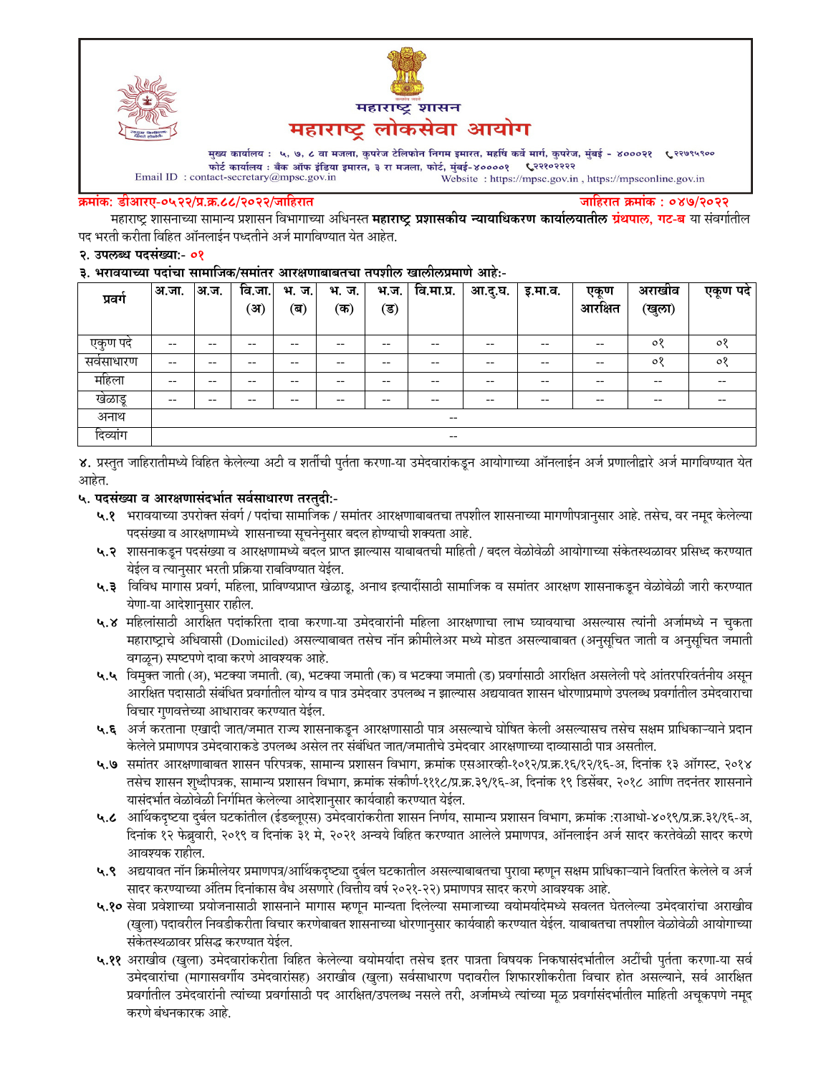



मुख्य कार्यालय : ५, ७, ८ वा मजला, कुपरेज टेलिफोन निगम इमारत, महर्षि कर्वे मार्ग, कुपरेज, मुंबई - ४०००२१ ९२९७९५९०० फोर्ट कार्यालय : बँक ऑफ इंडिया इमारत, ३ रा मजला, फोर्ट, मुंबई-४००००१ ९२२१०२२२२  $\label{eq:1} \textbf{Email ID: contact-secretary@mpsc.gov.in}$ Website: https://mpsc.gov.in, https://mpsconline.gov.in

#### क्रमांक: डीआरए-०५२२/प्र.क्र.८८/२०२२/जाहिरात

जाहिरात क्रमांक : ०४७/२०२२

महाराष्ट्र शासनाच्या सामान्य प्रशासन विभागाच्या अधिनस्त **महाराष्ट्र प्रशासकीय न्यायाधिकरण कार्यालयातील ग्रंथपाल, गट-ब** या संवर्गातील पद भरती करीता विहित ऑनलाईन पध्दतीने अर्ज मार्गावण्यात येत आहेत.

#### २. उपलब्ध पदसंख्या:- ०१

#### ३. भरावयाच्या पदांचा सामाजिक/समांतर आरक्षणाबाबतचा तपशील खालीलप्रमाणे आहे:-

| प्रवग                                          | अ.जा. | अ.ज.  | वि.जा.<br>ॅअ` | भ.<br>ज.<br>(ब) | भ.<br>ज.<br>(क) | भ.ज.<br>$(\overline{\mathsf{s}})$ | वि.मा.प्र.               | आ.दु.घ. | इ.मा.व. | एकण<br>$\hat{\phantom{a}}$<br>आरक्षित | अराखीव<br>(खुला) | एकूण पदे |
|------------------------------------------------|-------|-------|---------------|-----------------|-----------------|-----------------------------------|--------------------------|---------|---------|---------------------------------------|------------------|----------|
| एकुण पर्द                                      | --    | $- -$ | --            | $- -$           | --              | --                                | $- -$                    | --      | --      | $- -$                                 | $\circ$          | $\circ$  |
| सवसाधारण                                       | $- -$ | $- -$ | --            | $- -$           | --              | --                                | $- -$                    | --      | --      | $- -$                                 | $\circ$          | $\circ$  |
| महिला                                          | --    | $- -$ | --            | $- -$           | --              | --                                | $- -$                    | --      | --      | $- -$                                 | $- -$            | $- -$    |
| खेळाडू                                         | $- -$ | $- -$ | --            | $- -$           | --              | --                                | $- -$                    | --      | --      | $- -$                                 | $- -$            | $- -$    |
| अनाथ                                           |       |       |               |                 |                 |                                   | $\hspace{0.05cm} -$      |         |         |                                       |                  |          |
| $\sim$<br>$\overline{\phantom{a}}$<br>दिव्यांग |       |       |               |                 |                 |                                   | $\overline{\phantom{m}}$ |         |         |                                       |                  |          |

४. प्रस्तुत जाहिरातीमध्ये विहित केलेल्या अटी व शर्तीची पुर्तता करणा-या उमेदवारांकडून आयोगाच्या ऑनलाईन अर्ज प्रणालीद्वारे अर्ज मार्गावण्यात येत आहेत.

### ५. पदसंख्या व आरक्षणासंदर्भात सर्वसाधारण तरतदी:-

- ५.१ भरावयाच्या उपरोक्त संवर्ग / पदांचा सामाजिक / समांतर आरक्षणाबाबतचा तपशील शासनाच्या मागणीपत्रानुसार आहे. तसेच, वर नमूद केलेल्या पदसंख्या व आरक्षणामध्ये शासनाच्या सूचनेनुसार बदल होण्याची शक्यता आहे.
- ५.२ शासनाकडून पदसंख्या व आरक्षणामध्ये बदल प्राप्त झाल्यास याबाबतची माहिती / बदल वेळोवेळी आयोगाच्या संकेतस्थळावर प्रसिध्द करण्यात येईल व त्यानुसार भरती प्रक्रिया राबविण्यात येईल.
- ५.३ विविध मागास प्रवर्ग, महिला, प्राविण्यप्राप्त खेळाडू, अनाथ इत्यादींसाठी सामाजिक व समांतर आरक्षण शासनाकडून वेळोवेळी जारी करण्यात येणा-या आदेशानुसार राहील.
- ५.४ महिलांसाठी आरक्षित पदांकरिता दावा करणा-या उमेदवारांनी महिला आरक्षणाचा लाभ घ्यावयाचा असल्यास त्यांनी अर्जामध्ये न चुकता महाराष्ट्राचे अधिवासी (Domiciled) असल्याबाबत तसेच नॉन क्रीमीलेअर मध्ये मोडत असल्याबाबत (अनुसूचित जाती व अनुसूचित जमाती वगळून) स्पष्टपणे दावा करणे आवश्यक आहे.
- ५.५ विमुक्त जाती (अ), भटक्या जमाती. (ब), भटक्या जमाती (क) व भटक्या जमाती (ड) प्रवर्गासाठी आरक्षित असलेली पदे आंतरपरिवर्तनीय असून आरक्षित पदासाठी संबंधित प्रवर्गातील योग्य व पात्र उमेदवार उपलब्ध न झाल्यास अद्ययावत शासन धोरणाप्रमाणे उपलब्ध प्रवर्गातील उमेदवाराचा विचार गुणवत्तेच्या आधारावर करण्यात येईल.
- ५.६ अर्ज करताना एखादी जात/जमात राज्य शासनाकडून आरक्षणासाठी पात्र असल्याचे घोषित केली असल्यासच तसेच सक्षम प्राधिकाऱ्याने प्रदान केलेले प्रमाणपत्र उमेदवाराकडे उपलब्ध असेल तर संबंधित जात/जमातीचे उमेदवार आरक्षणाच्या दाव्यासाठी पात्र असतील.
- ५.७ समांतर आरक्षणाबाबत शासन परिपत्रक, सामान्य प्रशासन विभाग, क्रमांक एसआरव्ही-१०१२/प्र.क्र.१६/१२/१६-अ, दिनांक १३ ऑगस्ट, २०१४ तसेच शासन शुध्दीपत्रक, सामान्य प्रशासन विभाग, क्रमांक संकीर्ण-१११८/प्र.क्र.३९/१६-अ, दिनांक १९ डिसेंबर, २०१८ आणि तदनंतर शासनाने यासंदर्भात वेळोवेळी निर्गमित केलेल्या आदेशानुसार कार्यवाही करण्यात येईल.
- ५.८ आर्थिकदृष्टया दुर्बल घटकांतील (ईडब्लूएस) उमेदवारांकरीता शासन निर्णय, सामान्य प्रशासन विभाग, क्रमांक :राआधो-४०१९/प्र.क्र.३१/१६-अ, दिनांक १२ फेब्रुवारी, २०१९ व दिनांक ३१ मे, २०२१ अन्वये विहित करण्यात आलेले प्रमाणपत्र, ऑनलाईन अर्ज सादर करतेवेळी सादर करणे आवश्यक राहील.
- ५.९ अद्ययावत नॉन क्रिमीलेयर प्रमाणपत्र/आर्थिकदृष्ट्या दुर्बल घटकातील असल्याबाबतचा पुरावा म्हणून सक्षम प्राधिकाऱ्याने वितरित केलेले व अर्ज सादर करण्याच्या अंतिम दिनांकास वैध असणारे (वित्तीय वर्ष २०२१-२२) प्रमाणपत्र सादर करणे आवश्यक आहे.
- ५.१० सेवा प्रवेशाच्या प्रयोजनासाठी शासनाने मागास म्हणून मान्यता दिलेल्या समाजाच्या वयोमर्यादेमध्ये सवलत घेतलेल्या उमेदवारांचा अराखीव (खुला) पदावरील निवडीकरीता विचार करणेबाबत शासनाच्या धोरणानुसार कार्यवाही करण्यात येईल. याबाबतचा तपशील वेळोवेळी आयोगाच्या संकेतस्थळावर प्रसिद्ध करण्यात येईल.
- ५.११ अराखीव (खुला) उमेदवारांकरीता विहित केलेल्या वयोमर्यादा तसेच इतर पात्रता विषयक निकषासंदर्भातील अटींची पुर्तता करणा-या सर्व उमेदवारांचा (मागासवर्गीय उमेदवारांसह) अराखीव (खुला) सर्वसाधारण पदावरील शिफारशीकरीता विचार होत असल्याने, सर्व आरक्षित प्रवर्गातील उमेदवारांनी त्यांच्या प्रवर्गासाठी पद आरक्षित/उपलब्ध नसले तरी, अर्जामध्ये त्यांच्या मूळ प्रवर्गासंदर्भातील माहिती अचूकपणे नमूद करणे बंधनकारक आहे.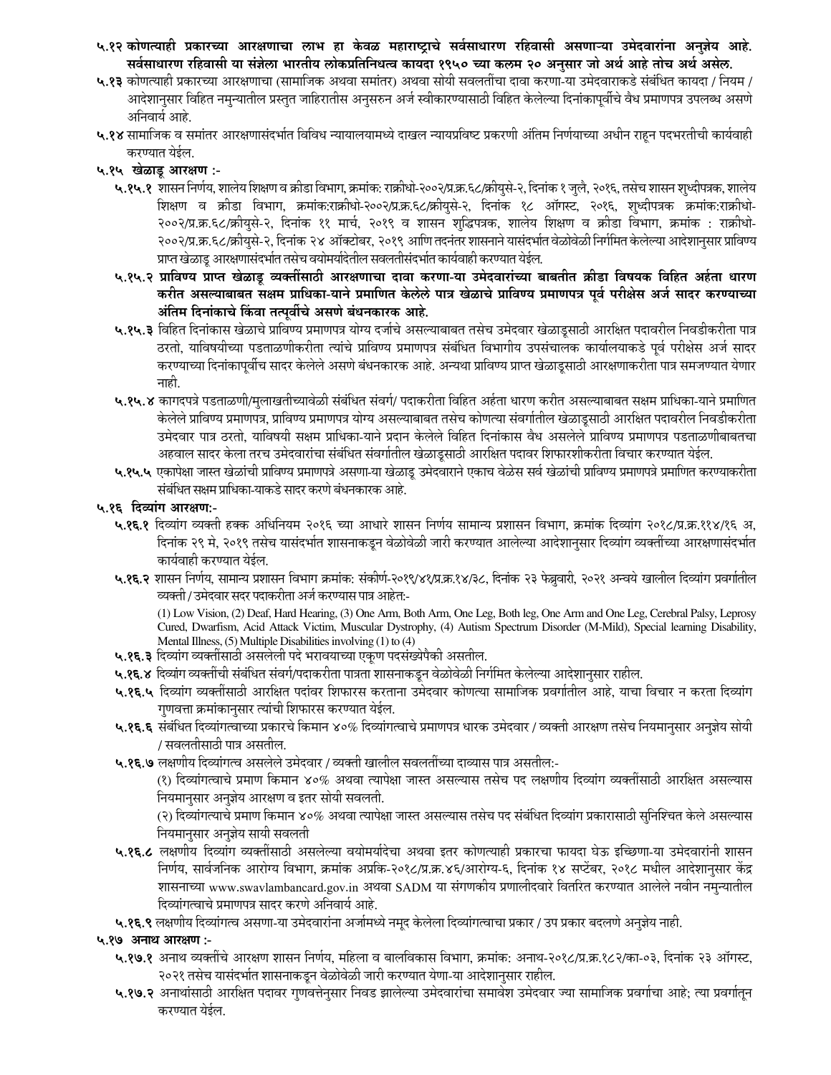- ५.१२ कोणत्याही प्रकारच्या आरक्षणाचा लाभ हा केवळ महाराष्ट्राचे सर्वसाधारण रहिवासी असणाऱ्या उमेदवारांना अनुज्ञेय आहे. सर्वसाधारण रहिवासी या संज्ञेला भारतीय लोकप्रतिनिधत्व कायदा १९५० च्या कलम २० अनुसार जो अर्थ आहे तोच अर्थ असेल.
- ५.१३ कोणत्याही प्रकारच्या आरक्षणाचा (सामाजिक अथवा समांतर) अथवा सोयी सवलतींचा दावा करणा-या उमेदवाराकडे संबंधित कायदा / नियम / आदेशानुसार विहित नमुन्यातील प्रस्तुत जाहिरातीस अनुसरुन अर्ज स्वीकारण्यासाठी विहित केलेल्या दिनांकापूर्वीचे वैध प्रमाणपत्र उपलब्ध असणे अनिवार्य आहे.
- ५.१४ सामाजिक व समांतर आरक्षणासंदर्भात विविध न्यायालयामध्ये दाखल न्यायप्रविष्ट प्रकरणी अंतिम निर्णयाच्या अधीन राहून पदभरतीची कार्यवाही करण्यात येईल.
- ५.१५ खेळाडू आरक्षण :-
	- ५.१५.१ शासन निर्णय, शालेय शिक्षण व क्रीडा विभाग, क्रमांक: राक्रीधो-२००२/प्र.क्र.६८/क्रीयुसे-२, दिनांक १ जुलै, २०१६, तसेच शासन शृथ्दीपत्रक, शालेय शिक्षण व क्रीडा विभाग, क्रमांक:राक्रीधो-२००२/प्र.क्र.६८/क्रीयुसे-२, दिनांक १८ ऑगस्ट, २०१६, शुध्दीपत्रक क्रमांक:राक्रीधो-२००२/प्र.क्र.६८/क्रीयुसे-२, दिनांक ११ मार्च, २०१९ व शासन शुद्धिपत्रक, शालेय शिक्षण व क्रीडा विभाग, क्रमांक : राक्रीधो-२००२/प्र.क्र.६८/क्रीयसे-२, दिनांक २४ ऑक्टोबर, २०१९ आणि तदनंतर शासनाने यासंदर्भात वेळोवेळी निर्गमित केलेल्या आदेशानुसार प्राविण्य प्राप्त खेळाडू आरक्षणासंदर्भात तसेच वयोमर्यादेतील सवलतीसंदर्भात कार्यवाही करण्यात येईल.
	- ५.१५.२ प्राविण्य प्राप्त खेळाडू व्यक्तींसाठी आरक्षणाचा दावा करणा-या उमेदवारांच्या बाबतीत क्रीडा विषयक विहित अर्हता धारण करीत असल्याबाबत सक्षम प्राधिका-याने प्रमाणित केलेले पात्र खेळाचे प्राविण्य प्रमाणपत्र पूर्व परीक्षेस अर्ज सादर करण्याच्या अंतिम दिनांकाचे किंवा तत्पूर्वीचे असणे बंधनकारक आहे.
	- ५.१५.३ विहित दिनांकास खेळाचे प्राविण्य प्रमाणपत्र योग्य दर्जाचे असल्याबाबत तसेच उमेदवार खेळाडूसाठी आरक्षित पदावरील निवडीकरीता पात्र ठरतो, याविषयीच्या पडताळणीकरीता त्यांचे प्राविण्य प्रमाणपत्र संबंधित विभागीय उपसंचालक कार्यालयाकडे पूर्व परीक्षेस अर्ज सादर करण्याच्या दिनांकापूर्वीच सादर केलेले असणे बंधनकारक आहे. अन्यथा प्राविण्य प्राप्त खेळाडूसाठी आरक्षणाकरीता पात्र समजण्यात येणार नाही.
	- ५.१५.४ कागदपत्रे पडताळणी/मुलाखतीच्यावेळी संबंधित संवर्ग/ पदाकरीता विहित अर्हता धारण करीत असल्याबाबत सक्षम प्राधिका-याने प्रमाणित केलेले प्राविण्य प्रमाणपत्र, प्राविण्य प्रमाणपत्र योग्य असल्याबाबत तसेच कोणत्या संवर्गातील खेळाडूसाठी आरक्षित पदावरील निवडीकरीता उमेदवार पात्र ठरतो, याविषयी सक्षम प्राधिका-याने प्रदान केलेले विहित दिनांकास वैध असलेले प्राविण्य प्रमाणपत्र पडताळणीबाबतचा अहवाल सादर केला तरच उमेदवारांचा संबंधित संवर्गातील खेळाडूसाठी आरक्षित पदावर शिफारशीकरीता विचार करण्यात येईल.
	- ५.१५.५ एकापेक्षा जास्त खेळांची प्राविण्य प्रमाणपत्रे असणा-या खेळाडू उमेदवाराने एकाच वेळेस सर्व खेळांची प्राविण्य प्रमाणपत्रे प्रमाणित करण्याकरीता संबंधित सक्षम प्राधिका-याकडे सादर करणे बंधनकारक आहे.

### ५.१६ दिव्यांग आरक्षण:-

- ५.१६.१ दिव्यांग व्यक्ती हक्क अधिनियम २०१६ च्या आधारे शासन निर्णय सामान्य प्रशासन विभाग, क्रमांक दिव्यांग २०१८/प्र.क्र.११४/१६ अ, दिनांक २९ मे, २०१९ तसेच यासंदर्भात शासनाकडून वेळोवेळी जारी करण्यात आलेल्या आदेशानुसार दिव्यांग व्यक्तींच्या आरक्षणासंदर्भात कार्यवाही करण्यात येईल.
- ५.१६.२ शासन निर्णय, सामान्य प्रशासन विभाग क्रमांक: संकीर्ण-२०१९/४१/प्र.क्र.१४/३८, दिनांक २३ फेब्रुवारी, २०२१ अन्वये खालील दिव्यांग प्रवर्गातील व्यक्ती / उमेदवार सदर पदाकरीता अर्ज करण्यास पात्र आहेत:-

(1) Low Vision, (2) Deaf, Hard Hearing, (3) One Arm, Both Arm, One Leg, Both leg, One Arm and One Leg, Cerebral Palsy, Leprosy Cured, Dwarfism, Acid Attack Victim, Muscular Dystrophy, (4) Autism Spectrum Disorder (M-Mild), Special learning Disability, Mental Illness, (5) Multiple Disabilities involving (1) to (4)

- ५.१६.३ दिव्यांग व्यक्तींसाठी असलेली पदे भरावयाच्या एकूण पदसंख्येपैकी असतील.
- ५.१६.४ दिव्यांग व्यक्तींची संबंधित संवर्ग/पदाकरीता पात्रता शासनाकडून वेळोवेळी निर्गमित केलेल्या आदेशानुसार राहील.
- ५.१६.५ दिव्यांग व्यक्तींसाठी आरक्षित पदांवर शिफारस करताना उमेदवार कोणत्या सामाजिक प्रवर्गातील आहे. याचा विचार न करता दिव्यांग गुणवत्ता क्रमांकानुसार त्यांची शिफारस करण्यात येईल.
- ५.१६.६ संबंधित दिव्यांगत्वाच्या प्रकारचे किमान ४०% दिव्यांगत्वाचे प्रमाणपत्र धारक उमेदवार / व्यक्ती आरक्षण तसेच नियमानुसार अनुज्ञेय सोयी / सवलतीसाठी पात्र असतील.
- ५.१६.७ लक्षणीय दिव्यांगत्व असलेले उमेदवार / व्यक्ती खालील सवलतींच्या दाव्यास पात्र असतील:-

(१) दिव्यांगत्वाचे प्रमाण किमान ४०% अथवा त्यापेक्षा जास्त असल्यास तसेच पद लक्षणीय दिव्यांग व्यक्तींसाठी आरक्षित असल्यास नियमानुसार अनुज्ञेय आरक्षण व इतर सोयी सवलती.

(२) दिव्यांगत्याचे प्रमाण किमान ४०% अथवा त्यापेक्षा जास्त असल्यास तसेच पद संबंधित दिव्यांग प्रकारासाठी सुनिश्चित केले असल्यास नियमानुसार अनुज्ञेय सायी सवलती

- ५.१६.८ लक्षणीय दिव्यांग व्यक्तींसाठी असलेल्या वयोमर्यादेचा अथवा इतर कोणत्याही प्रकारचा फायदा घेऊ इच्छिणा-या उमेदवारांनी शासन निर्णय, सार्वजनिक आरोग्य विभाग, क्रमांक अप्रकि-२०१८/प्र.क्र.४६/आरोग्य-६, दिनांक १४ सप्टेंबर, २०१८ मधील आदेशानुसार केंद्र शासनाच्या www.swavlambancard.gov.in अथवा SADM या संगणकीय प्रणालीदवारे वितरित करण्यात आलेले नवीन नमुन्यातील दिव्यांगत्वाचे प्रमाणपत्र सादर करणे अनिवार्य आहे.
- ५.१६.९ लक्षणीय दिव्यांगत्व असणा-या उमेदवारांना अर्जामध्ये नमूद केलेला दिव्यांगत्वाचा प्रकार / उप प्रकार बदलणे अनुज्ञेय नाही.

### ५.१७ अनाथ आरक्षण :-

- ५.१७.१ अनाथ व्यक्तींचे आरक्षण शासन निर्णय, महिला व बालविकास विभाग, क्रमांक: अनाथ-२०१८/प्र.क्र.१८२/का-०३, दिनांक २३ ऑगस्ट, २०२१ तसेच यासंदर्भात शासनाकडून वेळोवेळी जारी करण्यात येणा-या आदेशानुसार राहील.
- ५.१७.२ अनाथांसाठी आरक्षित पदावर गुणवत्तेनुसार निवड झालेल्या उमेदवारांचा समावेश उमेदवार ज्या सामाजिक प्रवर्गाचा आहे; त्या प्रवर्गातून करण्यात येईल.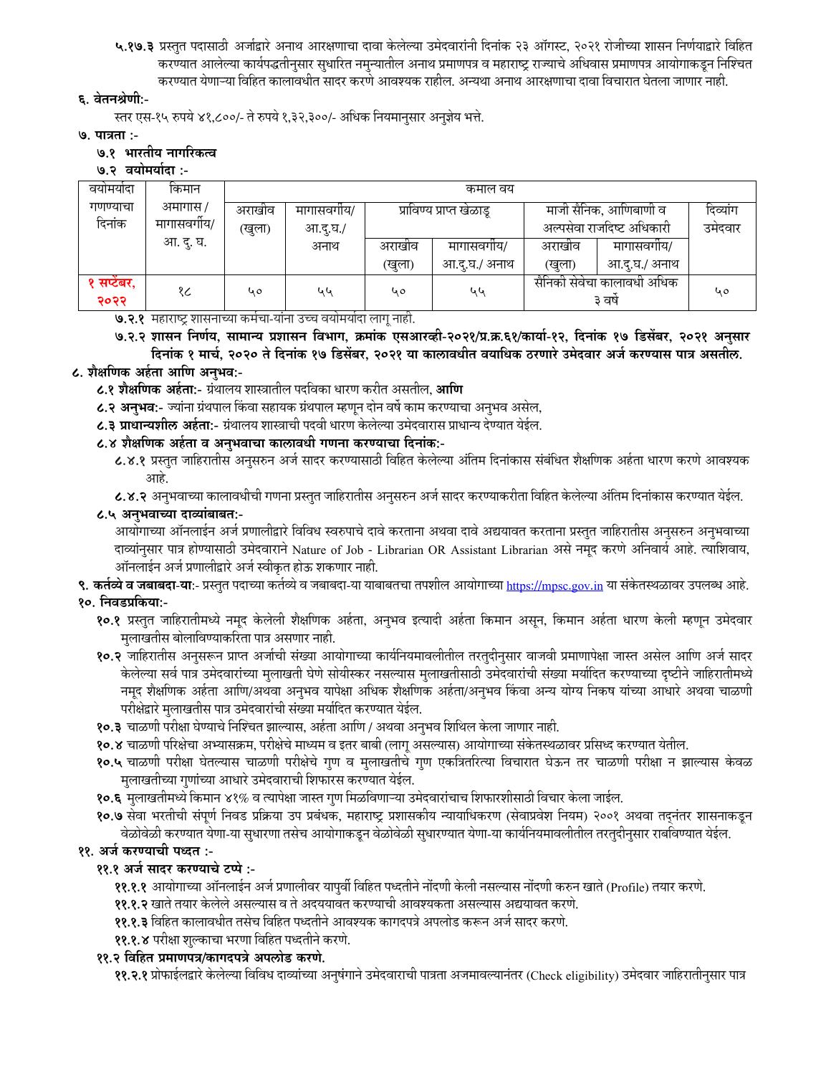५.१७.३ प्रस्तुत पदासाठी अर्जाद्वारे अनाथ आरक्षणाचा दावा केलेल्या उमेदवारांनी दिनांक २३ ऑगस्ट, २०२१ रोजीच्या शासन निर्णयाद्वारे विहित करण्यात आलेल्या कार्यपद्धतीनुसार सुधारित नमुन्यातील अनाथ प्रमाणपत्र व महाराष्ट्र राज्याचे अधिवास प्रमाणपत्र आयोगाकडून निश्चित करण्यात येणाऱ्या विहित कालावधीत सादर करणे आवश्यक राहील. अन्यथा अनाथ आरक्षणाचा दावा विचारात घेतला जाणार नाही.

### ६. वेतनश्रेणी:-

स्तर एस-१५ रुपये ४१,८००/- ते रुपये १,३२,३००/- अधिक नियमानुसार अनुज्ञेय भत्ते.

७. पात्रता :-

#### ७.१ भारतीय नागरिकत्व

#### ७.२ वयोमर्यादा :-

| वयामयादा    | किमान        | कमाल वय |            |         |                          |                            |                           |         |  |  |
|-------------|--------------|---------|------------|---------|--------------------------|----------------------------|---------------------------|---------|--|--|
| गणण्याचा    | अमागास /     | अराखीव  | मागासवगीय/ |         | प्राविण्य प्राप्त खेळाडू | माजी सैनिक, आणिबाणी व      | दिव्यांग                  |         |  |  |
| दिनांक      | मागासवर्गीय/ | (खुला)  | आ.दू.घ./   |         |                          |                            | अल्पसेवा राजदिष्ट अधिकारी | उमेदवार |  |  |
|             | आ. दु. घ.    |         | अनाथ       | अराखांव | मागासवगीय/               | अराखीव                     | मागासवगीय/                |         |  |  |
|             |              |         |            | (खुला)  | आ.दु.घ./ अनाथ            | (खुला)                     | आ.द्.घ./ अनाथ             |         |  |  |
| १ सप्टेंबर, | १८           | 40      | ५५         | 40      | ५५                       | सैनिकी सेवेचा कालावधी अधिक |                           | 40      |  |  |
| २०२२        |              |         |            |         |                          | ३ वर्ष                     |                           |         |  |  |

### ७.२.१ महाराष्ट्र शासनाच्या कर्मचा-यांना उच्च वयोमयोदा लागू नाही.

७.२.२ शासन निर्णय, सामान्य प्रशासन विभाग, क्रमांक एसआरव्ही-२०२१/प्र.क्र.६१/कार्या-१२, दिनांक १७ डिसेंबर, २०२१ अनुसार दिनांक १ मार्च, २०२० ते दिनांक १७ डिसेंबर, २०२१ या कालावधीत वयाधिक ठरणारे उमेदवार अर्ज करण्यास पात्र असतील.

### ८. शैक्षणिक अर्हता आणि अनुभव:-

**८.१ शैक्षणिक अर्हता:**- ग्रंथालय शास्त्रातील पदविका धारण करीत असतील, **आणि** 

८.२ अनुभव:- ज्यांना ग्रंथपाल किंवा सहायक ग्रंथपाल म्हणून दोन वर्षे काम करण्याचा अनुभव असेल,

८.३ प्राधान्यशील अर्हता:- ग्रंथालय शास्त्राची पदवी धारण केलेल्या उमेदवारास प्राधान्य देण्यात येईल.

### ८.४ शैक्षणिक अर्हता व अनुभवाचा कालावधी गणना करण्याचा दिनांक:-

८.४.१ प्रस्तुत जाहिरातीस अनुसरुन अर्ज सादर करण्यासाठी विहित केलेल्या अंतिम दिनांकास संबंधित शैक्षणिक अर्हता धारण करणे आवश्यक आहे.

८.४.२ अनुभवाच्या कालावधीची गणना प्रस्तुत जाहिरातीस अनुसरुन अर्ज सादर करण्याकरीता विहित केलेल्या अंतिम दिनांकास करण्यात येईल.

### ८.५ अनुभवाच्या दाव्यांबाबत:-

आयोगाच्या ऑनलाईन अर्ज प्रणालीद्वारे विविध स्वरुपाचे दावे करताना अथवा दावे अद्ययावत करताना प्रस्तुत जाहिरातीस अनुसरुन अनुभवाच्या दाव्यांनुसार पात्र होण्यासाठी उमेदवाराने Nature of Job - Librarian OR Assistant Librarian असे नमूद करणे अनिवार्य आहे. त्याशिवाय, ऑनलाईन अर्ज प्रणालीद्वारे अर्ज स्वीकृत होऊ शकणार नाही.

**९. कर्तव्ये व जबाबदा-या:**- प्रस्तुत पदाच्या कर्तव्ये व जबाबदा-या याबाबतचा तपशील आयोगाच्या <u>https://mpsc.gov.in</u> या संकेतस्थळावर उपलब्ध आहे. १०. निवडप्रकिया:-

# १०.१ प्रस्तुत जाहिरातीमध्ये नमूद केलेली शैक्षणिक अर्हता, अनुभव इत्यादी अर्हता किमान असून, किमान अर्हता धारण केली म्हणून उमेदवार मुलाखतीस बोलाविण्याकरिता पात्र असणार नाही.

- १०.२ जाहिरातीस अनुसरून प्राप्त अर्जाची संख्या आयोगाच्या कार्यनियमावलीतील तरतुदीनुसार वाजवी प्रमाणापेक्षा जास्त असेल आणि अर्ज सादर केलेल्या सर्व पात्र उमेदवारांच्या मुलाखती घेणे सोयीस्कर नसल्यास मुलाखतीसाठी उमेदवारांची संख्या मर्यादित करण्याच्या दृष्टीने जाहिरातीमध्ये नमूद शैक्षणिक अर्हता आणि/अथवा अनुभव यापेक्षा अधिक शैक्षणिक अर्हता/अनुभव किंवा अन्य योग्य निकष यांच्या आधारे अथवा चाळणी परीक्षेद्वारे मुलाखतीस पात्र उमेदवारांची संख्या मर्यादित करण्यात येईल.
- १०.३ चाळणी परीक्षा घेण्याचे निश्चित झाल्यास, अर्हता आणि / अथवा अनुभव शिथिल केला जाणार नाही.
- १०.४ चाळणी परिक्षेचा अभ्यासक्रम, परीक्षेचे माध्यम व इतर बाबी (लागू असल्यास) आयोगाच्या संकेतस्थळावर प्रसिध्द करण्यात येतील.
- १०.५ चाळणी परीक्षा घेतल्यास चाळणी परीक्षेचे गुण व मुलाखतीचे गुण एकत्रितरित्या विचारात घेऊन तर चाळणी परीक्षा न झाल्यास केवळ मुलाखतीच्या गुणांच्या आधारे उमेदवाराची शिफारस करण्यात येईल.
- १०.६ मुलाखतीमध्ये किमान ४१% व त्यापेक्षा जास्त गुण मिळविणाऱ्या उमेदवारांचाच शिफारशीसाठी विचार केला जाईल.
- १०.७ सेवा भरतीची संपूर्ण निवड प्रक्रिया उप प्रबंधक, महाराष्ट्र प्रशासकीय न्यायाधिकरण (सेवाप्रवेश नियम) २००१ अथवा तद्नंतर शासनाकडून वेळोवेळी करण्यात येणा-या सुधारणा तसेच आयोगाकडून वेळोवेळी सुधारण्यात येणा-या कार्यनियमावलीतील तरतुदीनुसार राबविण्यात येईल.

# ११. अर्ज करण्याची पध्दत :-

## ११.१ अर्ज सादर करण्याचे टप्पे :-

- ११.१.१ आयोगाच्या ऑनलाईन अर्ज प्रणालीवर यापुर्वी विहित पध्दतीने नोंदणी केली नसल्यास नोंदणी करुन खाते (Profile) तयार करणे.
- ११.१.२ खाते तयार केलेले असल्यास व ते अदययावत करण्याची आवश्यकता असल्यास अद्ययावत करणे.
- ११.१.३ विहित कालावधीत तसेच विहित पध्दतीने आवश्यक कागदपत्रे अपलोड करून अर्ज सादर करणे.
- ११.१.४ परीक्षा शुल्काचा भरणा विहित पध्दतीने करणे.

### ११.२ विहित प्रमाणपत्र/कागदपत्रे अपलोड करणे.

**११.२.१** प्रोफाईलद्वारे केलेल्या विविध दाव्यांच्या अनुषंगाने उमेदवाराची पात्रता अजमावल्यानंतर (Check eligibility) उमेदवार जाहिरातीनुसार पात्र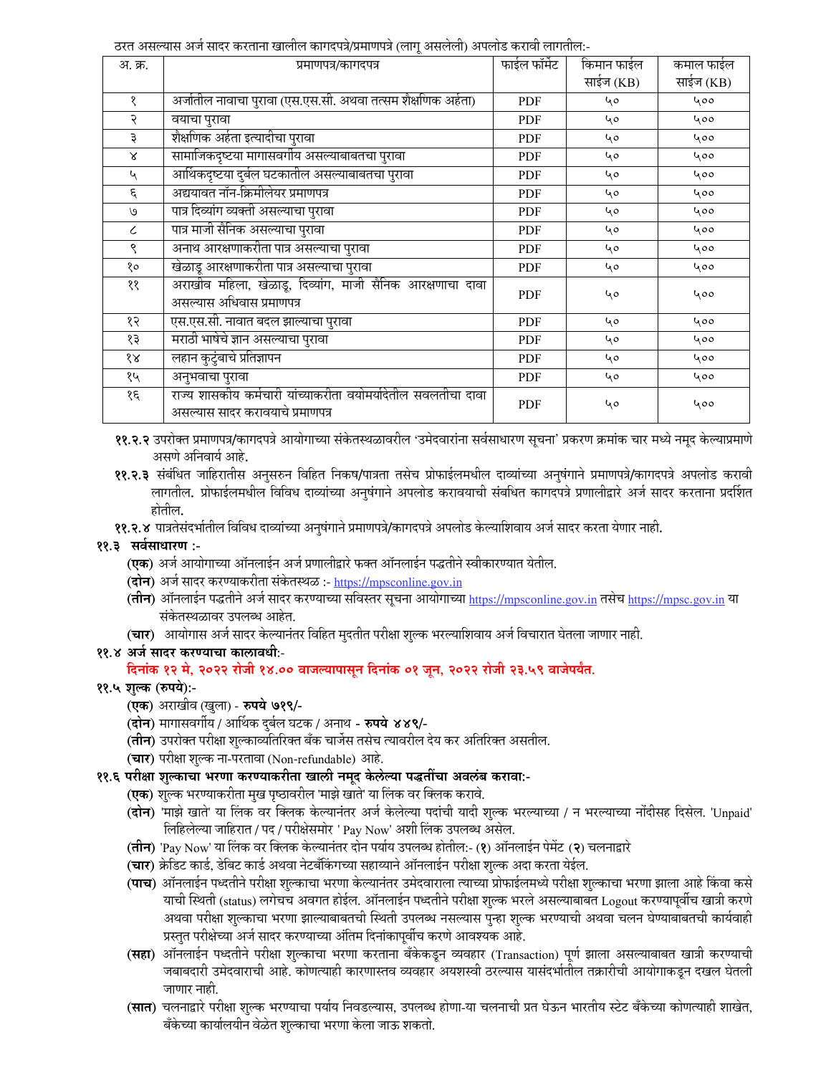ठरत असल्यास अर्ज सादर करताना खालील कागदपत्रे/प्रमाणपत्रे (लाग् असलेली) अपलोड करावी लागतील:-

| अ. क्र.                     | प्रमाणपत्र/कागदपत्र                                                                               | फाईल फॉर्मेट | किमान फाईल | कमाल फाईल |
|-----------------------------|---------------------------------------------------------------------------------------------------|--------------|------------|-----------|
|                             |                                                                                                   |              | साईज (KB)  | साईज (KB) |
| १                           | अर्जातील नावाचा पुरावा (एस.एस.सी. अथवा तत्सम शैक्षणिक अर्हता)                                     | <b>PDF</b>   | 40         | 400       |
| २                           | वयाचा पुरावा                                                                                      | PDF          | 40         | 400       |
| ३                           | शैक्षणिक अर्हता इत्यादीचा पुरावा                                                                  | <b>PDF</b>   | 40         | 400       |
| $\boldsymbol{\lambda}$      | सामाजिकदृष्टया मागासवर्गीय असल्याबाबतचा पुरावा                                                    | <b>PDF</b>   | 40         | 400       |
| $\mathcal{L}_{\mathcal{A}}$ | आर्थिकदृष्टया दुर्बल घटकातील असल्याबाबतचा पुरावा                                                  | <b>PDF</b>   | 40         | 400       |
| ٤                           | अद्ययावत नॉन-क्रिमीलेयर प्रमाणपत्र                                                                | <b>PDF</b>   | 40         | 400       |
| $\mathcal{O}$               | पात्र दिव्यांग व्यक्ती असल्याचा पुरावा                                                            | <b>PDF</b>   | 40         | 400       |
| ८                           | पात्र माजी सैनिक असल्याचा पुरावा                                                                  | <b>PDF</b>   | 40         | 400       |
| ९                           | अनाथ आरक्षणाकरीता पात्र असल्याचा पुरावा                                                           | PDF          | 40         | 400       |
| १०                          | खेळाडू आरक्षणाकरीता पात्र असल्याचा पुरावा                                                         | <b>PDF</b>   | 40         | 400       |
| ११                          | अराखीव महिला, खेळाडू, दिव्यांग, माजी सैनिक आरक्षणाचा दावा<br>असल्यास अधिवास प्रमाणपत्र            | <b>PDF</b>   | 40         | 400       |
| १२                          | एस.एस.सी. नावात बदल झाल्याचा पुरावा                                                               | <b>PDF</b>   | 40         | 400       |
| १३                          | मराठी भाषेचे ज्ञान असल्याचा पुरावा                                                                | PDF          | 40         | 400       |
| $\delta \mathcal{R}$        | लहान कुटुंबाचे प्रतिज्ञापन                                                                        | <b>PDF</b>   | 40         | 400       |
| १५                          | अनुभवाचा पुरावा                                                                                   | <b>PDF</b>   | 40         | 400       |
| १६                          | राज्य शासकीय कर्मचारी यांच्याकरीता वयोमर्यादेतील सवलतीचा दावा<br>असल्यास सादर करावयाचे प्रमाणपत्र | <b>PDF</b>   | 40         | 400       |

११.२.२ उपरोक्त प्रमाणपत्र/कागदपत्रे आयोगाच्या संकेतस्थळावरील 'उमेदवारांना सर्वसाधारण सूचना' प्रकरण क्रमांक चार मध्ये नमूद केल्याप्रमाणे असणे अनिवार्य आहे.

- ११.२.३ संबंधित जाहिरातीस अनुसरुन विहित निकष/पात्रता तसेच प्रोफाईलमधील दाव्यांच्या अनुषंगाने प्रमाणपत्रे/कागदपत्रे अपलोड करावी लागतील. प्रोफाईलमधील विविध दाव्यांच्या अनुषंगाने अपलोड करावयाची संबधित कागदपत्रे प्रणालीद्वारे अर्ज सादर करताना प्रदर्शित होतील.
- ११.२.४ पात्रतेसंदर्भातील विविध दाव्यांच्या अनुषंगाने प्रमाणपत्रे/कागदपत्रे अपलोड केल्याशिवाय अर्ज सादर करता येणार नाही.

### ११.३ सर्वसाधारण :-

- **(एक)** अर्ज आयोगाच्या ऑनलाईन अर्ज प्रणालीद्वारे फक्त ऑनलाईन पद्धतीने स्वीकारण्यात येतील.
- (दोन) अर्ज सादर करण्याकरीता संकेतस्थळ :- https://mpsconline.gov.in
- (तीन) ऑनलाईन पद्धतीने अर्ज सादर करण्याच्या सविस्तर सूचना आयोगाच्या https://mpsconline.gov.in तसेच https://mpsc.gov.in या संकेतस्थळावर उपलब्ध आहेत.
- (चार) आयोगास अर्ज सादर केल्यानंतर विहित मुदतीत परीक्षा शुल्क भरल्याशिवाय अर्ज विचारात घेतला जाणार नाही.

### ११.४ अर्ज सादर करण्याचा कालावधीः-

दिनांक १२ मे, २०२२ रोजी १४.०० वाजल्यापासून दिनांक ०१ जून, २०२२ रोजी २३.५९ वाजेपर्यंत.

## ११.५ शुल्क (रुपये):-

- (एक) अराखीव (खुला) रुपये ७१९/-
- (**दोन**) मागासवर्गीय / आर्थिक दुर्बल घटक / अनाथ **रुपये ४४९/**-
- (**तीन**) उपरोक्त परीक्षा शुल्काव्यतिरिक्त बँक चार्जेस तसेच त्यावरील देय कर अतिरिक्त असतील.
- (चार) परीक्षा शुल्क ना-परतावा (Non-refundable) आहे.

## ११.६ परीक्षा शुल्काचा भरणा करण्याकरीता खाली नमूद केलेल्या पद्धतींचा अवलंब करावा:-

- **(एक)** शुल्क भरण्याकरीता मुख पृष्ठावरील 'माझे खाते' या लिंक वर क्लिक करावे.
- (**दोन**) 'माझे खाते' या लिंक वर क्लिक केल्यानंतर अर्ज केलेल्या पदांची यादी शुल्क भरल्याच्या / न भरल्याच्या नोंदीसह दिसेल. 'Unpaid' लिहिलेल्या जाहिरात / पद / परीक्षेसमोर ' Pay Now' अशी लिंक उपलब्ध असेल.
- (**तीन**) 'Pay Now' या लिंक वर क्लिक केल्यानंतर दोन पर्याय उपलब्ध होतील:- (१) ऑनलाईन पेमेंट (२) चलनाद्वारे
- (**चार**) क्रेडिट कार्ड, डेबिट कार्ड अथवा नेटबँकिंगच्या सहाय्याने ऑनलाईन परीक्षा शुल्क अदा करता येईल.
- (**पाच**) ऑनलाईन पध्दतीने परीक्षा शुल्काचा भरणा केल्यानंतर उमेदवाराला त्याच्या प्रोफाईलमध्ये परीक्षा शुल्काचा भरणा झाला आहे किंवा कसे याची स्थिती (status) लगेचच अवगत होईल. ऑनलाईन पध्दतीने परीक्षा शुल्क भरले असल्याबाबत Logout करण्यापूर्वीच खात्री करणे अथवा परीक्षा शुल्काचा भरणा झाल्याबाबतची स्थिती उपलब्ध नसल्यास पुन्हा शुल्क भरण्याची अथवा चलन घेण्याबाबतची कार्यवाही प्रस्तुत परीक्षेच्या अर्ज सादर करण्याच्या अंतिम दिनांकापूर्वीच करणे आवश्यक आहे.
- (**सहा**) ऑनलाईन पध्दतीने परीक्षा शुल्काचा भरणा करताना बँकेकडून व्यवहार (Transaction) पूर्ण झाला असल्याबाबत खात्री करण्याची जबाबदारी उमेदवाराची आहे. कोणत्याही कारणास्तव व्यवहार अयशस्वी ठरल्यास यासंदर्भातील तक्रारीची आयोगाकडून दखल घेतली जाणार नाही.
- (सात) चलनाद्वारे परीक्षा शुल्क भरण्याचा पर्याय निवडल्यास, उपलब्ध होणा-या चलनाची प्रत घेऊन भारतीय स्टेट बँकेच्या कोणत्याही शाखेत, बँकेच्या कार्यालयीन वेळेत शुल्काचा भरणा केला जाऊ शकतो.